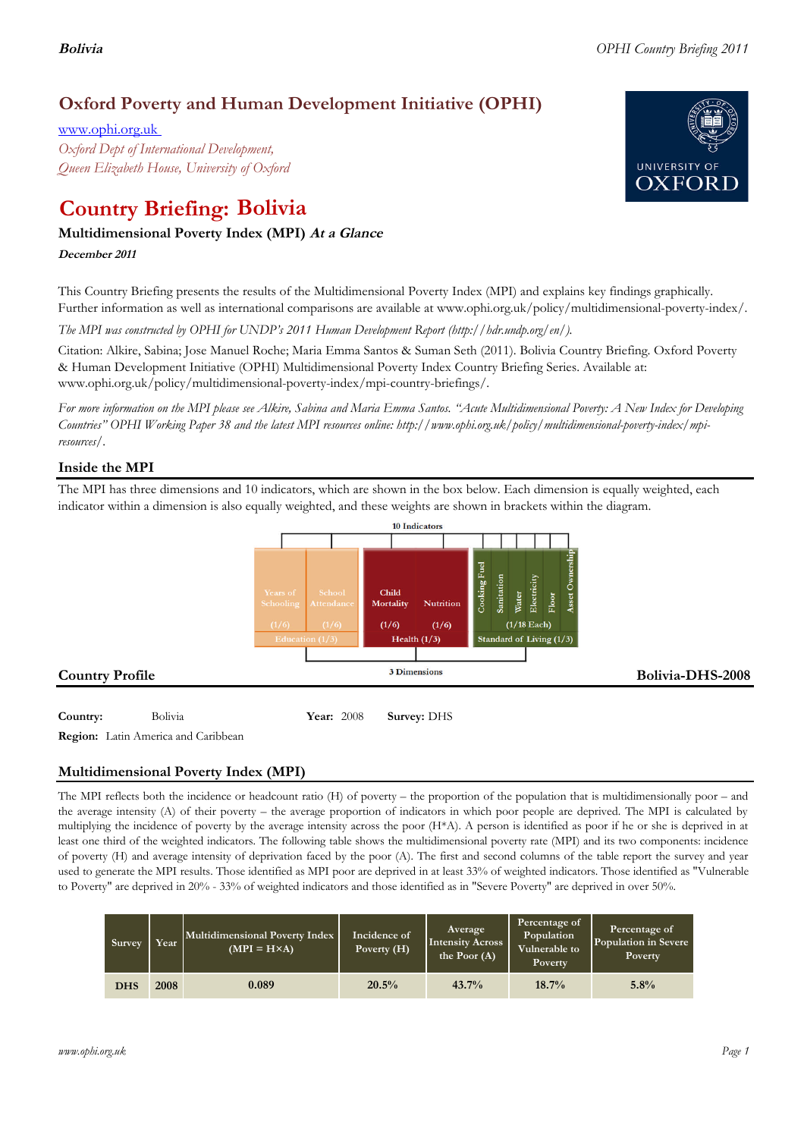# **Oxford Poverty and Human Development Initiative (OPHI)**

www.ophi.org.uk *Oxford Dept of International Development, Queen Elizabeth House, University of Oxford*

# **Country Briefing: Bolivia**

# **Multidimensional Poverty Index (MPI) At <sup>a</sup> Glance**

**December <sup>2011</sup>**

This Country Briefing presents the results of the Multidimensional Poverty Index (MPI) and explains key findings graphically. Further information as well as international comparisons are available at www.ophi.org.uk/policy/multidimensional-poverty-index/.

*The MPI was constructed by OPHI for UNDP's 2011 Human Development Report (http://hdr.undp.org/en/).*

Citation: Alkire, Sabina; Jose Manuel Roche; Maria Emma Santos & Suman Seth (2011). Bolivia Country Briefing. Oxford Poverty & Human Development Initiative (OPHI) Multidimensional Poverty Index Country Briefing Series. Available at: www.ophi.org.uk/policy/multidimensional-poverty-index/mpi-country-briefings/.

*For more information on the MPI please see Alkire, Sabina and Maria Emma Santos. "Acute Multidimensional Poverty: A New Index for Developing Countries" OPHI Working Paper 38 and the latest MPI resources online: http://www.ophi.org.uk/policy/multidimensional-poverty-index/mpiresources/.*

# **Inside the MPI**

The MPI has three dimensions and 10 indicators, which are shown in the box below. Each dimension is equally weighted, each indicator within a dimension is also equally weighted, and these weights are shown in brackets within the diagram.



**Region:** Latin America and Caribbean

# **Multidimensional Poverty Index (MPI)**

The MPI reflects both the incidence or headcount ratio (H) of poverty – the proportion of the population that is multidimensionally poor – and the average intensity (A) of their poverty – the average proportion of indicators in which poor people are deprived. The MPI is calculated by multiplying the incidence of poverty by the average intensity across the poor (H\*A). A person is identified as poor if he or she is deprived in at least one third of the weighted indicators. The following table shows the multidimensional poverty rate (MPI) and its two components: incidence of poverty (H) and average intensity of deprivation faced by the poor (A). The first and second columns of the table report the survey and year used to generate the MPI results. Those identified as MPI poor are deprived in at least 33% of weighted indicators. Those identified as "Vulnerable to Poverty" are deprived in 20% - 33% of weighted indicators and those identified as in "Severe Poverty" are deprived in over 50%.

| Survey     | Year | Multidimensional Poverty Index<br>$(MPI = H \times A)$ | Average<br>Incidence of<br>Intensity Across<br>Poverty $(H)$<br>the Poor (A) |          | Percentage of<br>Population<br>Vulnerable to<br>Poverty | Percentage of<br>Population in Severe<br><b>Poverty</b> |  |
|------------|------|--------------------------------------------------------|------------------------------------------------------------------------------|----------|---------------------------------------------------------|---------------------------------------------------------|--|
| <b>DHS</b> | 2008 | 0.089                                                  | 20.5%                                                                        | $43.7\%$ | 18.7%                                                   | 5.8%                                                    |  |

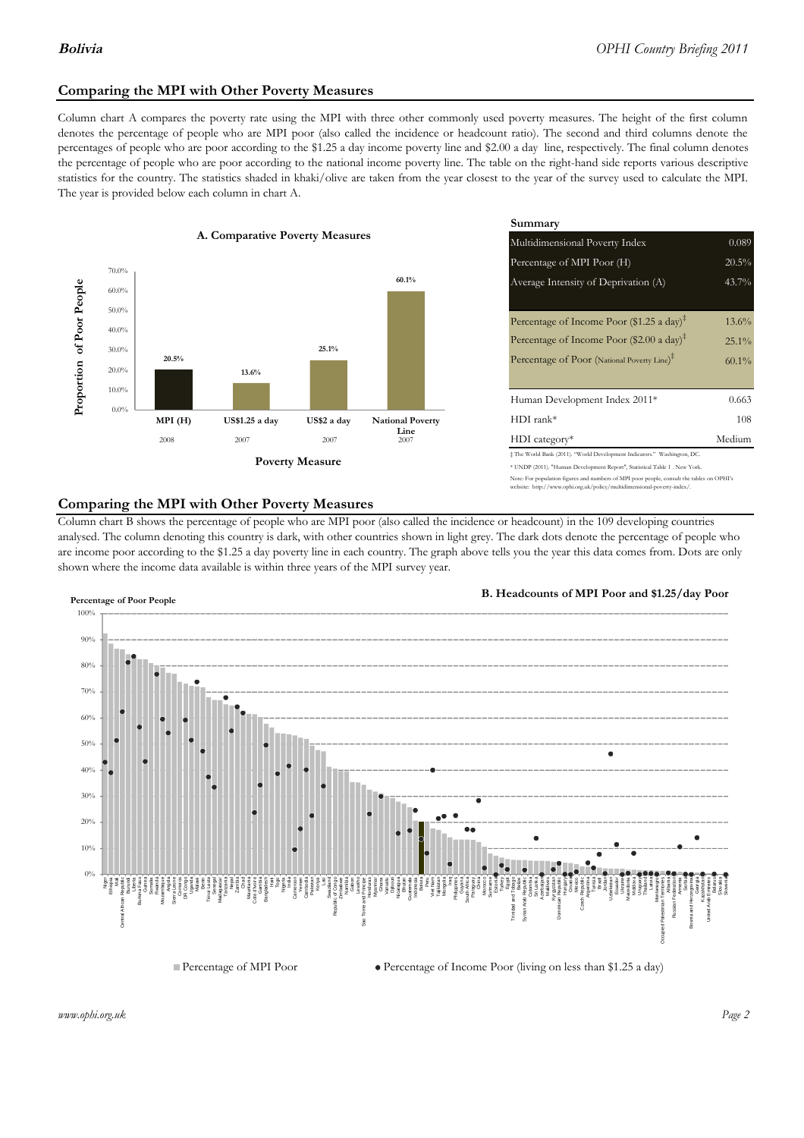# **Comparing the MPI with Other Poverty Measures**

Column chart A compares the poverty rate using the MPI with three other commonly used poverty measures. The height of the first column denotes the percentage of people who are MPI poor (also called the incidence or headcount ratio). The second and third columns denote the percentages of people who are poor according to the \$1.25 a day income poverty line and \$2.00 a day line, respectively. The final column denotes the percentage of people who are poor according to the national income poverty line. The table on the right-hand side reports various descriptive statistics for the country. The statistics shaded in khaki/olive are taken from the year closest to the year of the survey used to calculate the MPI. The year is provided below each column in chart A.



|                 |                         | Summary                                                                      |          |  |  |  |  |
|-----------------|-------------------------|------------------------------------------------------------------------------|----------|--|--|--|--|
| erty Measures   |                         | Multidimensional Poverty Index                                               | 0.089    |  |  |  |  |
|                 |                         | Percentage of MPI Poor (H)                                                   | 20.5%    |  |  |  |  |
|                 | 60.1%                   | Average Intensity of Deprivation (A)                                         | 43.7%    |  |  |  |  |
|                 |                         |                                                                              |          |  |  |  |  |
|                 |                         | Percentage of Income Poor (\$1.25 a day) <sup><math>\ddagger</math></sup>    | $13.6\%$ |  |  |  |  |
|                 |                         | Percentage of Income Poor (\$2.00 a day) <sup><math>\bar{x}</math></sup>     | $25.1\%$ |  |  |  |  |
| 25.1%           |                         | Percentage of Poor (National Poverty Line) <sup>‡</sup>                      | $60.1\%$ |  |  |  |  |
|                 |                         |                                                                              |          |  |  |  |  |
|                 |                         | Human Development Index 2011*                                                | 0.663    |  |  |  |  |
| US\$2 a day     | <b>National Poverty</b> | $HDI$ rank*                                                                  | 108      |  |  |  |  |
| 2007            | Line<br>2007            | $HDI category*$                                                              | Medium   |  |  |  |  |
| <b>⁄Ieasure</b> |                         | $\pm$ The World Bank (2011). "World Development Indicators." Washington, DC. |          |  |  |  |  |
|                 |                         | * UNDP (2011). "Human Development Report", Statistical Table 1 . New York.   |          |  |  |  |  |

#### te: For population figures and numbers of MPI poor people, consult the tables on OPHI's te: http://www.ophi.org.uk/policy/multidimensional-poverty-index/

# **Comparing the MPI with Other Poverty Measures**

Column chart B shows the percentage of people who are MPI poor (also called the incidence or headcount) in the 109 developing countries analysed. The column denoting this country is dark, with other countries shown in light grey. The dark dots denote the percentage of people who are income poor according to the \$1.25 a day poverty line in each country. The graph above tells you the year this data comes from. Dots are only shown where the income data available is within three years of the MPI survey year.



**B. Headcounts of MPI Poor and \$1.25/day Poor**



 $\bullet$  Percentage of Income Poor (living on less than \$1.25 a day)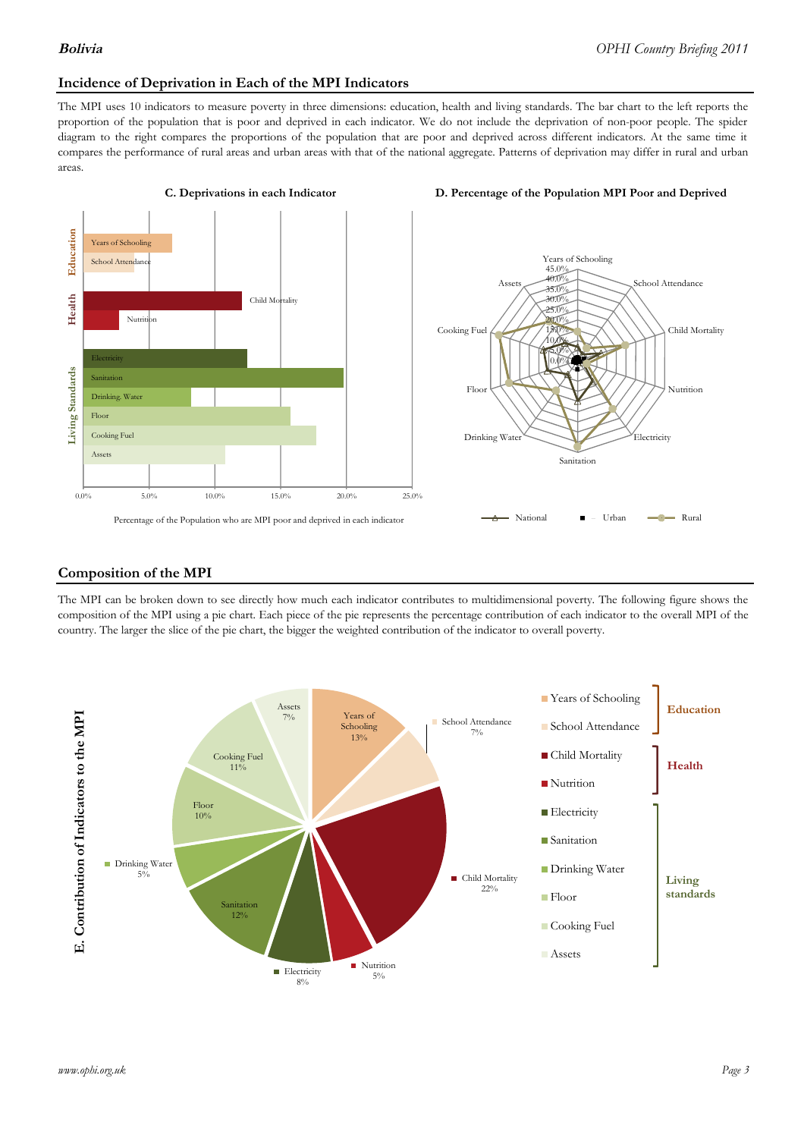## **Incidence of Deprivation in Each of the MPI Indicators**

The MPI uses 10 indicators to measure poverty in three dimensions: education, health and living standards. The bar chart to the left reports the proportion of the population that is poor and deprived in each indicator. We do not include the deprivation of non-poor people. The spider diagram to the right compares the proportions of the population that are poor and deprived across different indicators. At the same time it compares the performance of rural areas and urban areas with that of the national aggregate. Patterns of deprivation may differ in rural and urban areas.



#### **C. Deprivations in each Indicator D. Percentage of the Population MPI Poor and Deprived**



### **Composition of the MPI**

The MPI can be broken down to see directly how much each indicator contributes to multidimensional poverty. The following figure shows the composition of the MPI using a pie chart. Each piece of the pie represents the percentage contribution of each indicator to the overall MPI of the country. The larger the slice of the pie chart, the bigger the weighted contribution of the indicator to overall poverty.

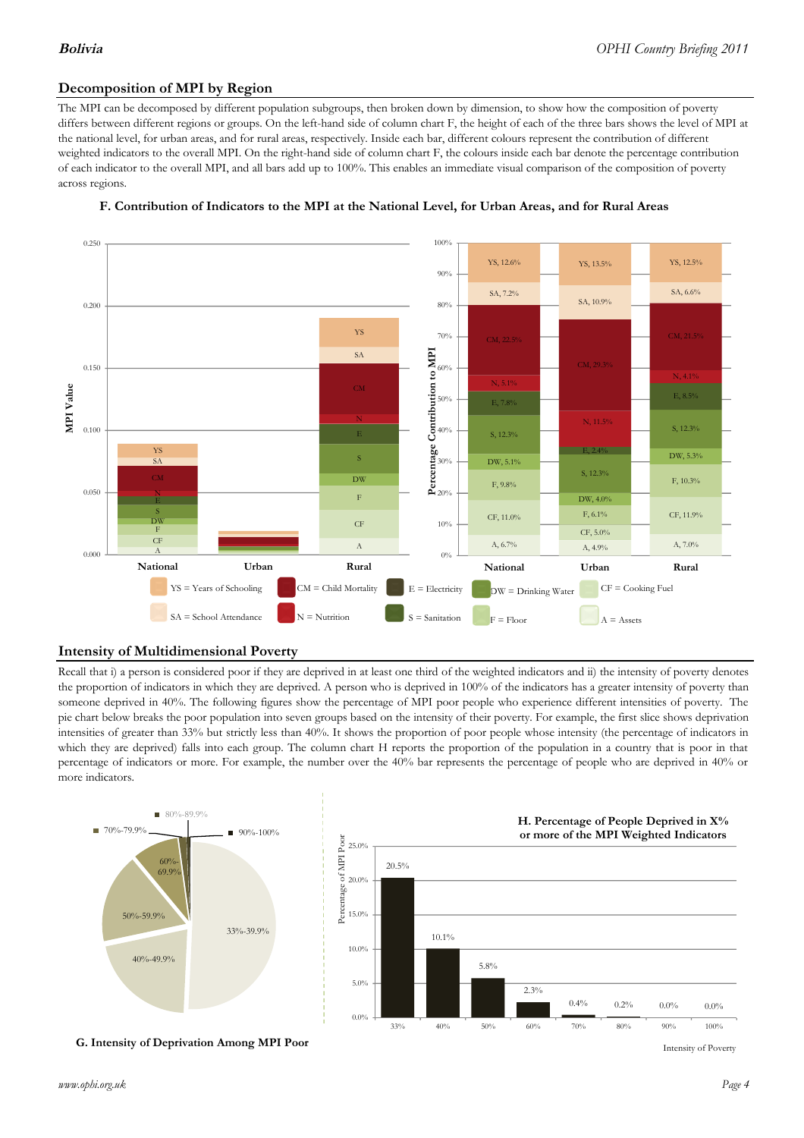# **Decomposition of MPI by Region**

The MPI can be decomposed by different population subgroups, then broken down by dimension, to show how the composition of poverty differs between different regions or groups. On the left-hand side of column chart F, the height of each of the three bars shows the level of MPI at the national level, for urban areas, and for rural areas, respectively. Inside each bar, different colours represent the contribution of different weighted indicators to the overall MPI. On the right-hand side of column chart F, the colours inside each bar denote the percentage contribution of each indicator to the overall MPI, and all bars add up to 100%. This enables an immediate visual comparison of the composition of poverty across regions.



### **F. Contribution of Indicators to the MPI at the National Level, for Urban Areas, and for Rural Areas**

# **Intensity of Multidimensional Poverty**

Recall that i) a person is considered poor if they are deprived in at least one third of the weighted indicators and ii) the intensity of poverty denotes the proportion of indicators in which they are deprived. A person who is deprived in 100% of the indicators has a greater intensity of poverty than someone deprived in 40%. The following figures show the percentage of MPI poor people who experience different intensities of poverty. The pie chart below breaks the poor population into seven groups based on the intensity of their poverty. For example, the first slice shows deprivation intensities of greater than 33% but strictly less than 40%. It shows the proportion of poor people whose intensity (the percentage of indicators in which they are deprived) falls into each group. The column chart H reports the proportion of the population in a country that is poor in that percentage of indicators or more. For example, the number over the 40% bar represents the percentage of people who are deprived in 40% or more indicators.



**G. Intensity of Deprivation Among MPI Poor**

Intensity of Poverty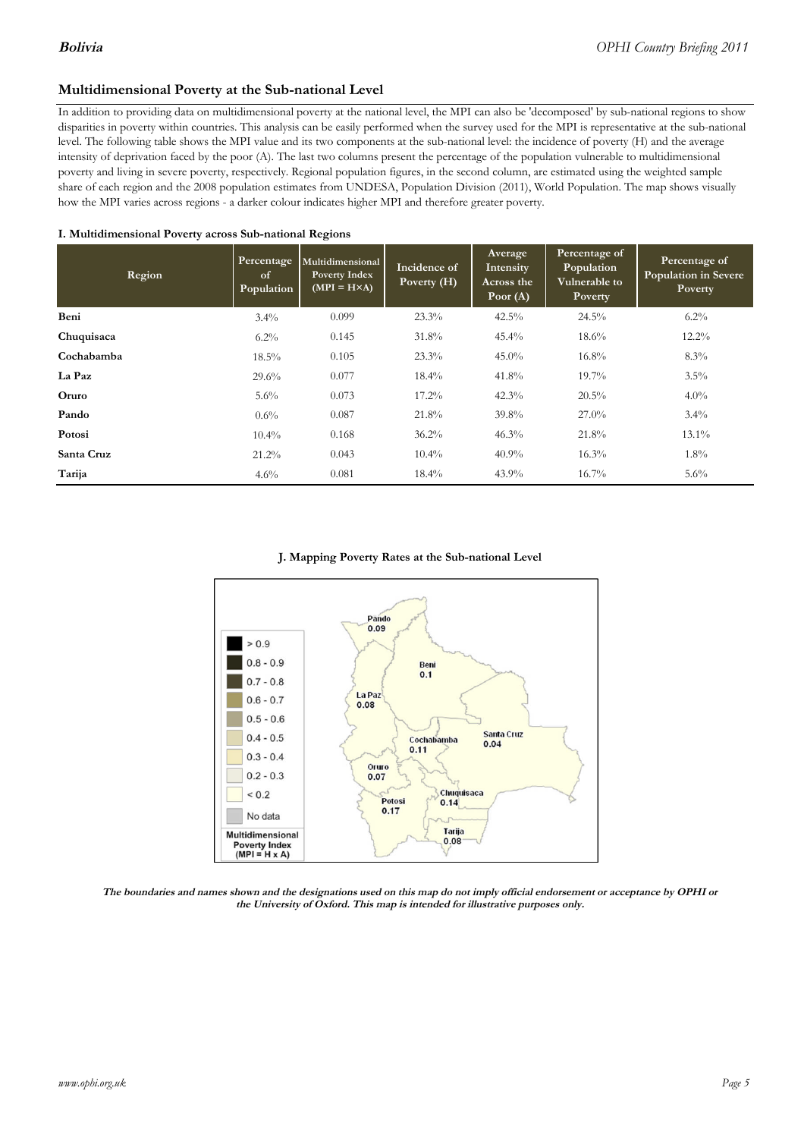# **Multidimensional Poverty at the Sub-national Level**

In addition to providing data on multidimensional poverty at the national level, the MPI can also be 'decomposed' by sub-national regions to show disparities in poverty within countries. This analysis can be easily performed when the survey used for the MPI is representative at the sub-national level. The following table shows the MPI value and its two components at the sub-national level: the incidence of poverty (H) and the average intensity of deprivation faced by the poor (A). The last two columns present the percentage of the population vulnerable to multidimensional poverty and living in severe poverty, respectively. Regional population figures, in the second column, are estimated using the weighted sample share of each region and the 2008 population estimates from UNDESA, Population Division (2011), World Population. The map shows visually how the MPI varies across regions - a darker colour indicates higher MPI and therefore greater poverty.

#### **I. Multidimensional Poverty across Sub-national Regions**

| Region     | Percentage<br>of<br>Population | Multidimensional<br>Poverty Index<br>$(MPI = H \times A)$ | Incidence of<br>Poverty $(H)$ | Average<br>Intensity<br>Across the<br>Poor $(A)$ | Percentage of<br>Population<br>Vulnerable to<br><b>Poverty</b> | Percentage of<br><b>Population in Severe</b><br>Poverty |
|------------|--------------------------------|-----------------------------------------------------------|-------------------------------|--------------------------------------------------|----------------------------------------------------------------|---------------------------------------------------------|
| Beni       | $3.4\%$                        | 0.099                                                     | 23.3%                         | 42.5%                                            | $24.5\%$                                                       | $6.2\%$                                                 |
| Chuquisaca | $6.2\%$                        | 0.145                                                     | $31.8\%$                      | $45.4\%$                                         | $18.6\%$                                                       | $12.2\%$                                                |
| Cochabamba | $18.5\%$                       | 0.105                                                     | $23.3\%$                      | $45.0\%$                                         | $16.8\%$                                                       | $8.3\%$                                                 |
| La Paz     | 29.6%                          | 0.077                                                     | $18.4\%$                      | 41.8%                                            | $19.7\%$                                                       | $3.5\%$                                                 |
| Oruro      | 5.6%                           | 0.073                                                     | $17.2\%$                      | $42.3\%$                                         | $20.5\%$                                                       | $4.0\%$                                                 |
| Pando      | $0.6\%$                        | 0.087                                                     | 21.8%                         | 39.8%                                            | $27.0\%$                                                       | $3.4\%$                                                 |
| Potosi     | $10.4\%$                       | 0.168                                                     | $36.2\%$                      | 46.3%                                            | 21.8%                                                          | $13.1\%$                                                |
| Santa Cruz | $21.2\%$                       | 0.043                                                     | $10.4\%$                      | $40.9\%$                                         | $16.3\%$                                                       | $1.8\%$                                                 |
| Tarija     | 4.6%                           | 0.081                                                     | $18.4\%$                      | $43.9\%$                                         | $16.7\%$                                                       | $5.6\%$                                                 |

#### **J. Mapping Poverty Rates at the Sub-national Level**



The boundaries and names shown and the designations used on this map do not imply official endorsement or acceptance by OPHI or the University of Oxford. This map is intended for illustrative purposes only.